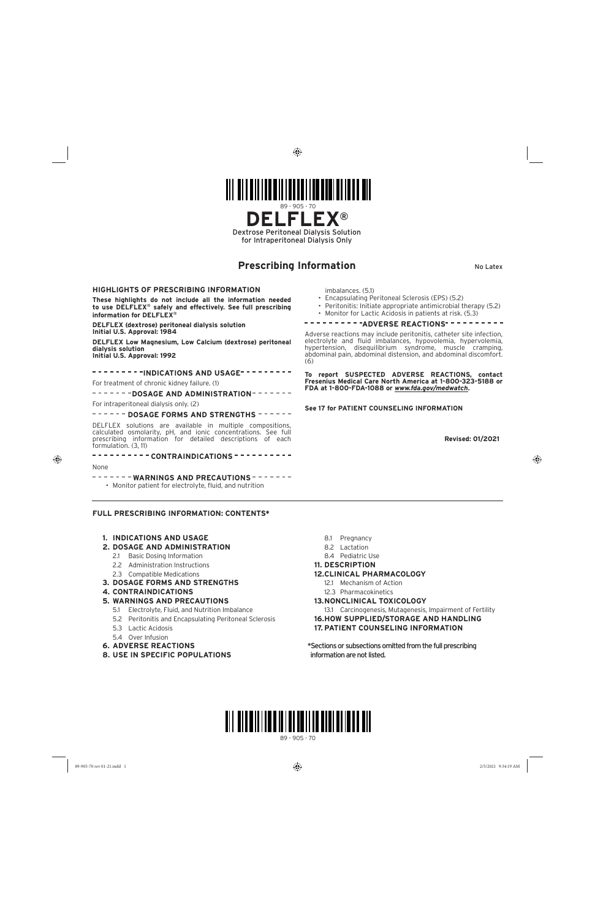#### **HIGHLIGHTS OF PRESCRIBING INFORMATION**

**These highlights do not include all the information needed to use DELFLEX**® **safely and effectively. See full prescribing information for DELFLEX**®

--------TINDICATIONS AND USAGE<sup>--------</sup> For treatment of chronic kidney failure. (1)

**DOSAGE AND ADMINISTRATION-------**

**DELFLEX (dextrose) peritoneal dialysis solution Initial U.S. Approval: 1984**

**DELFLEX Low Magnesium, Low Calcium (dextrose) peritoneal dialysis solution Initial U.S. Approval: 1992**

For intraperitoneal dialysis only. (2)

# ------ DOSAGE FORMS AND STRENGTHS ------

DELFLEX solutions are available in multiple compositions, calculated osmolarity, pH, and ionic concentrations. See full prescribing information for detailed descriptions of each formulation. (3, 11)

**CONTRAINDICATIONS**

 $\bigcirc$ 

None

------WARNINGS AND PRECAUTIONS-------

• Monitor patient for electrolyte, fluid, and nutrition

- imbalances. (5.1)
- Encapsulating Peritoneal Sclerosis (EPS) (5.2)
- Peritonitis: Initiate appropriate antimicrobial therapy (5.2)
- Monitor for Lactic Acidosis in patients at risk. (5.3)

# ---------ADVERSE REACTIONS<sup>-</sup>--------

Adverse reactions may include peritonitis, catheter site infection, electrolyte and fluid imbalances, hypovolemia, hypervolemia, hypertension, disequilibrium syndrome, muscle cramping, abdominal pain, abdominal distension, and abdominal discomfort. (6)

**To report SUSPECTED ADVERSE REACTIONS, contact Fresenius Medical Care North America at 1-800-323-5188 or FDA at 1-800-FDA-1088 or** *www.fda.gov/medwatch***.**

**See 17 for PATIENT COUNSELING INFORMATION**

**Revised: 01/2021**

 $\textcolor{red}{\textcircled{\footnotesize{1}}}$ 

#### **FULL PRESCRIBING INFORMATION: CONTENTS\***

# Dextrose Peritoneal Dialysis Solution

⊕



for Intraperitoneal Dialysis Only

# **Prescribing Information** No Latex

#### 89 - 905 - 70

 $89-905-70$  rev 01-21.indd 1 2/5/2021 9:34:19 AM

**1. INDICATIONS AND USAGE**

## **2. DOSAGE AND ADMINISTRATION**

- 2.1 Basic Dosing Information
- 2.2 Administration Instructions
- 2.3 Compatible Medications
- **3. DOSAGE FORMS AND STRENGTHS**
- **4. CONTRAINDICATIONS**

## **5. WARNINGS AND PRECAUTIONS**

- 5.1 Electrolyte, Fluid, and Nutrition Imbalance
- 5.2 Peritonitis and Encapsulating Peritoneal Sclerosis
- 5.3 Lactic Acidosis
- 5.4 Over Infusion
- **6. ADVERSE REACTIONS**
- **8. USE IN SPECIFIC POPULATIONS**
- 8.1 Pregnancy
- 8.2 Lactation
- 8.4 Pediatric Use
- **11. DESCRIPTION**

# **12. CLINICAL PHARMACOLOGY**

- 12.1 Mechanism of Action
- 12.3 Pharmacokinetics
- **13. NONCLINICAL TOXICOLOGY**

13.1 Carcinogenesis, Mutagenesis, Impairment of Fertility **16. HOW SUPPLIED/STORAGE AND HANDLING**

**17. PATIENT COUNSELING INFORMATION**

\*Sections or subsections omitted from the full prescribing information are not listed.

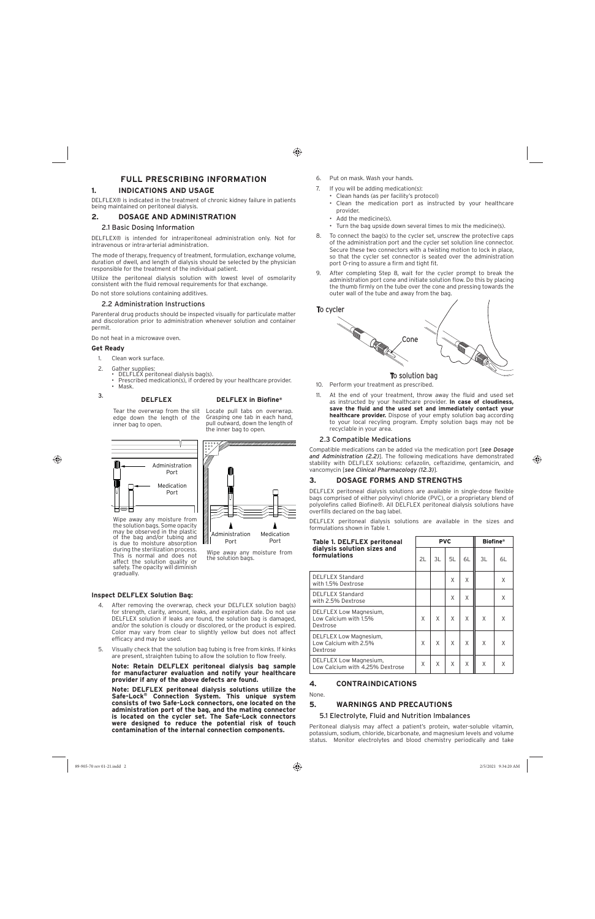# $\bigoplus$

## **FULL PRESCRIBING INFORMATION**

#### **1. INDICATIONS AND USAGE**

DELFLEX® is indicated in the treatment of chronic kidney failure in patients being maintained on peritoneal dialysis.

#### **2. DOSAGE AND ADMINISTRATION**

#### 2.1 Basic Dosing Information

DELFLEX® is intended for intraperitoneal administration only. Not for intravenous or intra-arterial administration.

The mode of therapy, frequency of treatment, formulation, exchange volume, duration of dwell, and length of dialysis should be selected by the physician responsible for the treatment of the individual patient.

Utilize the peritoneal dialysis solution with lowest level of osmolarity consistent with the fluid removal requirements for that exchange.

# Do not store solutions containing additives. 2.2 Administration Instructions

Parenteral drug products should be inspected visually for particulate matter and discoloration prior to administration whenever solution and container permit.

Do not heat in a microwave oven.

#### **Get Ready**

- 1. Clean work surface.
- 2. Gather supplies:
	- DELFLEX peritoneal dialysis bag(s).
		- Prescribed medication(s), if ordered by your healthcare provider. • Mask.

# 3.

#### **Inspect DELFLEX Solution Bag:**

- 4. After removing the overwrap, check your DELFLEX solution bag(s) for strength, clarity, amount, leaks, and expiration date. Do not use DELFLEX solution if leaks are found, the solution bag is damaged, and/or the solution is cloudy or discolored, or the product is expired. Color may vary from clear to slightly yellow but does not affect efficacy and may be used.
- 5. Visually check that the solution bag tubing is free from kinks. If kinks are present, straighten tubing to allow the solution to flow freely.

**Note: Retain DELFLEX peritoneal dialysis bag sample for manufacturer evaluation and notify your healthcare** 

**provider if any of the above defects are found.**

**Note: DELFLEX peritoneal dialysis solutions utilize the Safe-Lock® Connection System. This unique system consists of two Safe-Lock connectors, one located on the administration port of the bag, and the mating connector is located on the cycler set. The Safe-Lock connectors were designed to reduce the potential risk of touch contamination of the internal connection components.**

Wipe away any moisture from the solution bags. Some opacity may be observed in the plastic of the bag and/or tubing and is due to moisture absorption during the sterilization process. This is normal and does not affect the solution quality or safety. The opacity will diminish<br>gradually. Wipe away any moisture from the solution bags. Some opacity<br>may be observed in the plastic of the bag and/or tubing and and administration and is due to moisture absorption Port Port during the sterilization process. Wipe

- 6. Put on mask. Wash your hands.
- 7. If you will be adding medication(s):
	- Clean hands (as per facility's protocol)
	- Clean the medication port as instructed by your healthcare provider.
	- Add the medicine(s).
	- Turn the bag upside down several times to mix the medicine(s).
- 8. To connect the bag(s) to the cycler set, unscrew the protective caps of the administration port and the cycler set solution line connector. Secure these two connectors with a twisting motion to lock in place, so that the cycler set connector is seated over the administration port O-ring to assure a firm and tight fit.
- 9. After completing Step 8, wait for the cycler prompt to break the administration port cone and initiate solution flow. Do this by placing the thumb firmly on the tube over the cone and pressing towards the outer wall of the tube and away from the bag.

- 10. Perform your treatment as prescribed.
- 11. At the end of your treatment, throw away the fluid and used set as instructed by your healthcare provider. **In case of cloudiness, save the fluid and the used set and immediately contact your healthcare provider.** Dispose of your empty solution bag according to your local recyling program. Empty solution bags may not be recyclable in your area.

#### 2.3 Compatible Medications

Compatible medications can be added via the medication port [*see Dosage and Administration (2.2)*]. The following medications have demonstrated stability with DELFLEX solutions: cefazolin, ceftazidime, gentamicin, and vancomycin [*see Clinical Pharmacology (12.3)*].

#### **3. DOSAGE FORMS AND STRENGTHS**

DELFLEX peritoneal dialysis solutions are available in single-dose flexible bags comprised of either polyvinyl chloride (PVC), or a proprietary blend of polyolefins called Biofine®. All DELFLEX peritoneal dialysis solutions have overfills declared on the bag label.

DELFLEX peritoneal dialysis solutions are available in the sizes and formulations shown in Table 1.

| Table 1. DELFLEX peritoneal<br>dialysis solution sizes and<br>formulations |   | <b>PVC</b> | <b>Biofine®</b> |    |    |    |
|----------------------------------------------------------------------------|---|------------|-----------------|----|----|----|
|                                                                            |   | 3L         | 5L              | 6L | 3L | 6L |
| DELFLEX Standard<br>with 1.5% Dextrose                                     |   |            | X               | X  |    | X  |
| DELFLEX Standard<br>with 2.5% Dextrose                                     |   |            | X               | X  |    | X  |
| DELFLEX Low Magnesium,<br>Low Calcium with 1.5%<br>Dextrose                | Χ | Χ          | X               | Χ  | X  | X  |
| DELFLEX Low Magnesium,<br>Low Calcium with 2.5%<br>Dextrose                | χ | X          | X               | X  | X  | X  |
| DELFLEX Low Magnesium,<br>Low Calcium with 4.25% Dextrose                  | χ | X          | X               | X  | X  | X  |

 $\textcolor{red}{\textcircled{\footnotesize{1}}}$ 

# **4. CONTRAINDICATIONS**

None.

# **5. WARNINGS AND PRECAUTIONS**

#### 5.1 Electrolyte, Fluid and Nutrition Imbalances

Peritoneal dialysis may affect a patient's protein, water-soluble vitamin, potassium, sodium, chloride, bicarbonate, and magnesium levels and volume status. Monitor electrolytes and blood chemistry periodically and take

89-905-70 rev 01-21.indd 2 2/5/2021 9:34:20 AM 2/5/2021 9:34:20 AM

Administration Medication



Port Port

#### **DELFLEX DELFLEX in Biofine®**

edge down the length of the inner bag to open.



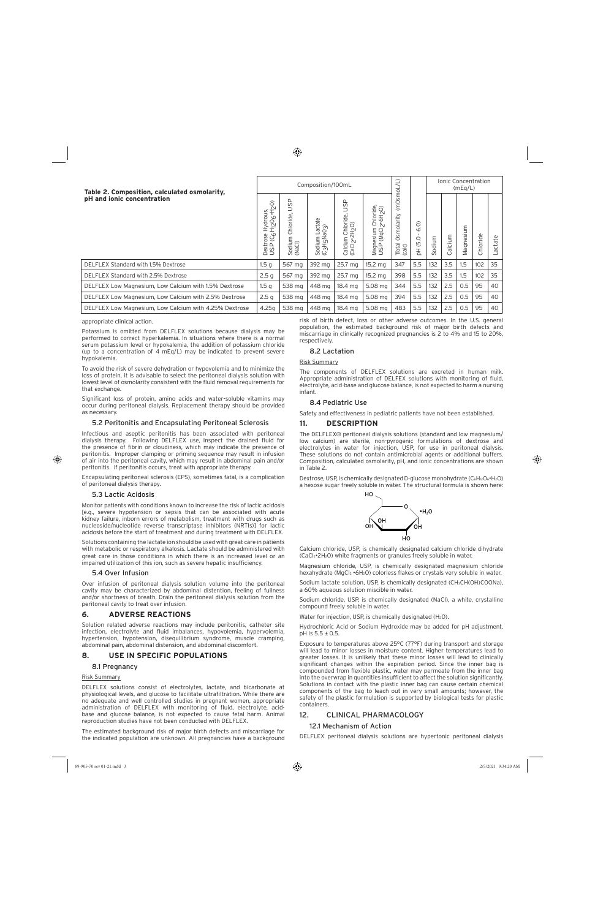appropriate clinical action.

Potassium is omitted from DELFLEX solutions because dialysis may be performed to correct hyperkalemia. In situations where there is a normal serum potassium level or hypokalemia, the addition of potassium chloride (up to a concentration of 4 mEq/L) may be indicated to prevent severe hypokalemia.

To avoid the risk of severe dehydration or hypovolemia and to minimize the loss of protein, it is advisable to select the peritoneal dialysis solution with lowest level of osmolarity consistent with the fluid removal requirements for that exchange.

Significant loss of protein, amino acids and water-soluble vitamins may occur during peritoneal dialysis. Replacement therapy should be provided as necessary.

#### 5.2 Peritonitis and Encapsulating Peritoneal Sclerosis

Infectious and aseptic peritonitis has been associated with peritoneal dialysis therapy. Following DELFLEX use, inspect the drained fluid for the presence of fibrin or cloudiness, which may indicate the presence of peritonitis. Improper clamping or priming sequence may result in infusion of air into the peritoneal cavity, which may result in abdominal pain and/or peritonitis. If peritonitis occurs, treat with appropriate therapy.

Encapsulating peritoneal sclerosis (EPS), sometimes fatal, is a complication of peritoneal dialysis therapy.

#### 5.3 Lactic Acidosis

⊕

Monitor patients with conditions known to increase the risk of lactic acidosis [e.g., severe hypotension or sepsis that can be associated with acute kidney failure, inborn errors of metabolism, treatment with drugs such as nucleoside/nucleotide reverse transcriptase inhibitors (NRTIs)] for lactic acidosis before the start of treatment and during treatment with DELFLEX.

Solutions containing the lactate ion should be used with great care in patients with metabolic or respiratory alkalosis. Lactate should be administered with great care in those conditions in which there is an increased level or an impaired utilization of this ion, such as severe hepatic insufficiency.

#### 5.4 Over Infusion

Over infusion of peritoneal dialysis solution volume into the peritoneal cavity may be characterized by abdominal distention, feeling of fullness and/or shortness of breath. Drain the peritoneal dialysis solution from the peritoneal cavity to treat over infusion.

Dextrose, USP, is chemically designated D-glucose monohydrate (C6H12O6•H2O) a hexose sugar freely soluble in water. The structural formula is shown here:

Magnesium chloride, USP, is chemically designated magnesium chloride hexahydrate (MgCl<sub>2</sub> · 6H<sub>2</sub>O) colorless flakes or crystals very soluble in water.

#### **6. ADVERSE REACTIONS**

Solution related adverse reactions may include peritonitis, catheter site infection, electrolyte and fluid imbalances, hypovolemia, hypervolemia, hypertension, hypotension, disequilibrium syndrome, muscle cramping, abdominal pain, abdominal distension, and abdominal discomfort.

#### **8. USE IN SPECIFIC POPULATIONS**

# 8.1 Pregnancy

#### Risk Summary

DELFLEX solutions consist of electrolytes, lactate, and bicarbonate at physiological levels, and glucose to facilitate ultrafiltration. While there are no adequate and well controlled studies in pregnant women, appropriate administration of DELFLEX with monitoring of fluid, electrolyte, acidbase and glucose balance, is not expected to cause fetal harm. Animal reproduction studies have not been conducted with DELFLEX.

The estimated background risk of major birth defects and miscarriage for the indicated population are unknown. All pregnancies have a background

risk of birth defect, loss or other adverse outcomes. In the U.S. general population, the estimated background risk of major birth defects and miscarriage in clinically recognized pregnancies is 2 to 4% and 15 to 20%, respectively.

#### 8.2 Lactation

Risk Summary

The components of DELFLEX solutions are excreted in human milk. Appropriate administration of DELFEX solutions with monitoring of fluid, electrolyte, acid-base and glucose balance, is not expected to harm a nursing infant.

#### 8.4 Pediatric Use

Safety and effectiveness in pediatric patients have not been established.

#### **11. DESCRIPTION**

The DELFLEX® peritoneal dialysis solutions (standard and low magnesium/ low calcium) are sterile, non-pyrogenic formulations of dextrose and electrolytes in water for injection, USP, for use in peritoneal dialysis. These solutions do not contain antimicrobial agents or additional buffers. Composition, calculated osmolarity, pH, and ionic concentrations are shown in Table 2.

Calcium chloride, USP, is chemically designated calcium chloride dihydrate (CaCl2•2H2O) white fragments or granules freely soluble in water.

Sodium lactate solution, USP, is chemically designated (CH3CH(OH)COONa), a 60% aqueous solution miscible in water.

Sodium chloride, USP, is chemically designated (NaCI), a white, crystalline compound freely soluble in water.

Water for injection, USP, is chemically designated (H<sub>2</sub>O).

Hydrochloric Acid or Sodium Hydroxide may be added for pH adjustment. pH is 5.5 ± 0.5.

Exposure to temperatures above 25°C (77°F) during transport and storage will lead to minor losses in moisture content. Higher temperatures lead to greater losses. It is unlikely that these minor losses will lead to clinically significant changes within the expiration period. Since the inner bag is compounded from flexible plastic, water may permeate from the inner bag

into the overwrap in quantities insufficient to affect the solution significantly. Solutions in contact with the plastic inner bag can cause certain chemical components of the bag to leach out in very small amounts; however, the safety of the plastic formulation is supported by biological tests for plastic containers.

# 12. CLINICAL PHARMACOLOGY

# 12.1 Mechanism of Action

DELFLEX peritoneal dialysis solutions are hypertonic peritoneal dialysis

89-905-70 rev 01-21.indd 3 2/5/2021 9:34:20 AM 2/5/2021 9:34:20 AM

#### **Table 2. Composition, calculated osmolarity, pH and ionic concentration**

| Table 2. Composition, calculated osmolarity,<br>pH and ionic concentration |                   | Composition/100mL                                                           |                                                                                                 |                                                                                                             |                                                                                           | ()<br>ਰੋ                               |                                        | <b>Ionic Concentration</b><br>(mEq/L) |                  |           |          |         |
|----------------------------------------------------------------------------|-------------------|-----------------------------------------------------------------------------|-------------------------------------------------------------------------------------------------|-------------------------------------------------------------------------------------------------------------|-------------------------------------------------------------------------------------------|----------------------------------------|----------------------------------------|---------------------------------------|------------------|-----------|----------|---------|
|                                                                            |                   | င်္ဘ<br>hloride,<br>$\overline{O}$<br>ξ<br>$\widehat{c}$<br>ਹ<br>nes<br>Soc | ctate<br>$\widehat{\mathcal{D}}$<br>$\sigma$<br>Ġ<br>3H <sub>5N</sub><br>dium<br>$\circ$<br>9 S | മ<br>50<br>ride,<br>OCH.<br>HDQ<br>$\tilde{\mathcal{F}}$<br>$\sim$<br>cium<br>Calciun<br>(CaCl <sub>2</sub> | Chloride,<br>2*6H <sub>2</sub> O)<br>$\sim$<br>lagnesium<br>ISP (MgCl <sub>2</sub><br>≶ ⊃ | (mOsm<br>Osmolarity<br>Total<br>(calc) | $\widehat{\circ}$<br>c.<br>Q<br>்<br>공 | dium<br>$\circ$<br>$\Omega$           | alcium<br>$\cup$ | Magnesium | Chloride | .actate |
| DELFLEX Standard with 1.5% Dextrose                                        | 1.5 a             | 567 ma                                                                      | 392 ma                                                                                          | 25.7 mg                                                                                                     | 15.2 mg                                                                                   | 347                                    | 5.5                                    | 132                                   | 3.5              | 1.5       | 102      | 35      |
| DELFLEX Standard with 2.5% Dextrose                                        | 2.5 <sub>q</sub>  | 567 mg                                                                      | 392 mg                                                                                          | 25.7 mg                                                                                                     | 15.2 mg                                                                                   | 398                                    | 5.5                                    | 132                                   | 3.5              | 1.5       | 102      | 35      |
| DELFLEX Low Magnesium, Low Calcium with 1.5% Dextrose                      | 1.5 a             | 538 ma                                                                      | 448 ma                                                                                          | 18.4 ma                                                                                                     | 5.08 mg                                                                                   | 344                                    | 5.5                                    | 132                                   | 2.5              | 0.5       | 95       | 40      |
| DELFLEX Low Magnesium, Low Calcium with 2.5% Dextrose                      | 2.5 <sub>q</sub>  | 538 ma                                                                      | 448 ma                                                                                          | 18.4 ma                                                                                                     | 5.08 ma                                                                                   | 394                                    | 5.5                                    | 132                                   | 2.5              | 0.5       | 95       | 40      |
| DELFLEX Low Magnesium, Low Calcium with 4.25% Dextrose                     | 4.25 <sub>q</sub> | 538 mg                                                                      | 448 mg                                                                                          | 18.4 ma                                                                                                     | 5.08 mg                                                                                   | 483                                    | 5.5                                    | 132                                   | 2.5              | 0.5       | 95       | 40      |
|                                                                            |                   |                                                                             |                                                                                                 |                                                                                                             |                                                                                           |                                        |                                        |                                       |                  |           |          |         |